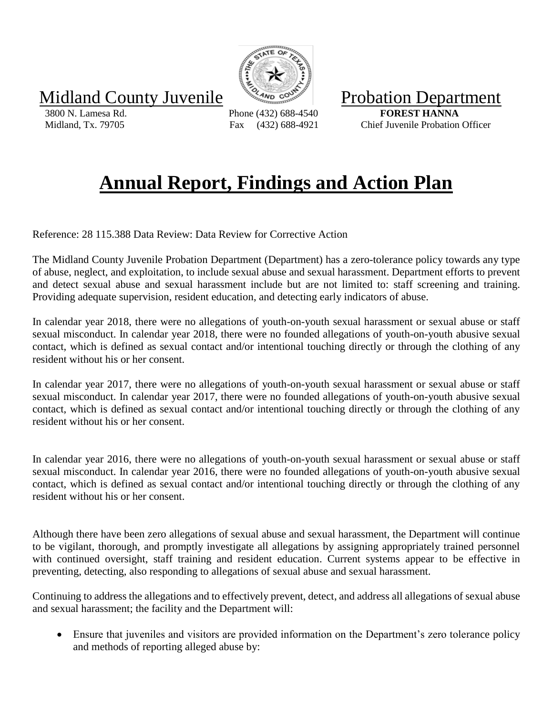Midland County Juvenile William Probation Department

 3800 N. Lamesa Rd. Phone (432) 688-4540 **FOREST HANNA** Midland, Tx. 79705 Fax (432) 688-4921 Chief Juvenile Probation Officer

## **Annual Report, Findings and Action Plan**

Reference: 28 115.388 Data Review: Data Review for Corrective Action

The Midland County Juvenile Probation Department (Department) has a zero-tolerance policy towards any type of abuse, neglect, and exploitation, to include sexual abuse and sexual harassment. Department efforts to prevent and detect sexual abuse and sexual harassment include but are not limited to: staff screening and training. Providing adequate supervision, resident education, and detecting early indicators of abuse.

In calendar year 2018, there were no allegations of youth-on-youth sexual harassment or sexual abuse or staff sexual misconduct. In calendar year 2018, there were no founded allegations of youth-on-youth abusive sexual contact, which is defined as sexual contact and/or intentional touching directly or through the clothing of any resident without his or her consent.

In calendar year 2017, there were no allegations of youth-on-youth sexual harassment or sexual abuse or staff sexual misconduct. In calendar year 2017, there were no founded allegations of youth-on-youth abusive sexual contact, which is defined as sexual contact and/or intentional touching directly or through the clothing of any resident without his or her consent.

In calendar year 2016, there were no allegations of youth-on-youth sexual harassment or sexual abuse or staff sexual misconduct. In calendar year 2016, there were no founded allegations of youth-on-youth abusive sexual contact, which is defined as sexual contact and/or intentional touching directly or through the clothing of any resident without his or her consent.

Although there have been zero allegations of sexual abuse and sexual harassment, the Department will continue to be vigilant, thorough, and promptly investigate all allegations by assigning appropriately trained personnel with continued oversight, staff training and resident education. Current systems appear to be effective in preventing, detecting, also responding to allegations of sexual abuse and sexual harassment.

Continuing to address the allegations and to effectively prevent, detect, and address all allegations of sexual abuse and sexual harassment; the facility and the Department will:

• Ensure that juveniles and visitors are provided information on the Department's zero tolerance policy and methods of reporting alleged abuse by: